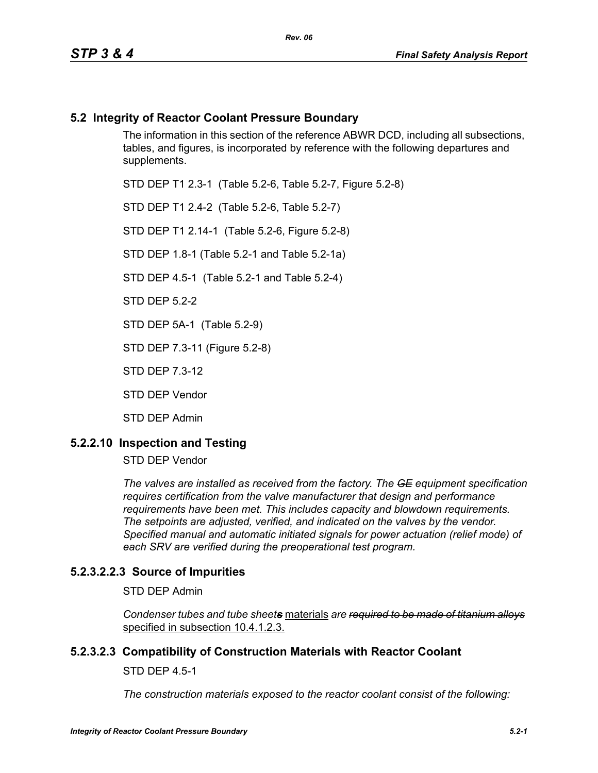### **5.2 Integrity of Reactor Coolant Pressure Boundary**

The information in this section of the reference ABWR DCD, including all subsections, tables, and figures, is incorporated by reference with the following departures and supplements.

STD DEP T1 2.3-1 (Table 5.2-6, Table 5.2-7, Figure 5.2-8)

STD DEP T1 2.4-2 (Table 5.2-6, Table 5.2-7)

STD DEP T1 2.14-1 (Table 5.2-6, Figure 5.2-8)

STD DEP 1.8-1 (Table 5.2-1 and Table 5.2-1a)

STD DEP 4.5-1 (Table 5.2-1 and Table 5.2-4)

STD DEP 5.2-2

STD DEP 5A-1 (Table 5.2-9)

STD DEP 7.3-11 (Figure 5.2-8)

STD DEP 7.3-12

STD DEP Vendor

STD DEP Admin

### **5.2.2.10 Inspection and Testing**

STD DEP Vendor

*The valves are installed as received from the factory. The GE equipment specification requires certification from the valve manufacturer that design and performance requirements have been met. This includes capacity and blowdown requirements. The setpoints are adjusted, verified, and indicated on the valves by the vendor. Specified manual and automatic initiated signals for power actuation (relief mode) of each SRV are verified during the preoperational test program.*

### **5.2.3.2.2.3 Source of Impurities**

STD DEP Admin

*Condenser tubes and tube sheets* materials *are required to be made of titanium alloys* specified in subsection 10.4.1.2.3.

### **5.2.3.2.3 Compatibility of Construction Materials with Reactor Coolant**

STD DEP 4.5-1

*The construction materials exposed to the reactor coolant consist of the following:*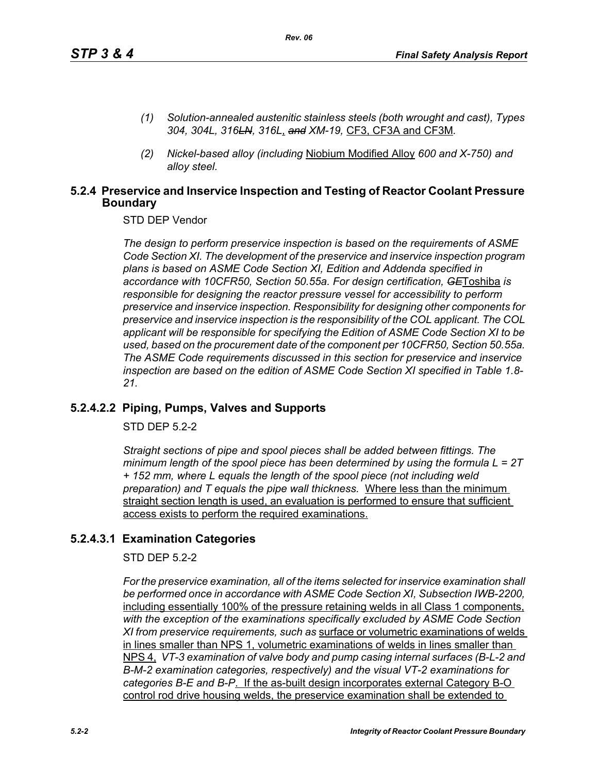- *(1) Solution-annealed austenitic stainless steels (both wrought and cast), Types 304, 304L, 316LN, 316L*, *and XM-19,* CF3, CF3A and CF3M*.*
- *(2) Nickel-based alloy (including* Niobium Modified Alloy *600 and X-750) and alloy steel.*

### **5.2.4 Preservice and Inservice Inspection and Testing of Reactor Coolant Pressure Boundary**

STD DEP Vendor

*The design to perform preservice inspection is based on the requirements of ASME Code Section XI. The development of the preservice and inservice inspection program plans is based on ASME Code Section XI, Edition and Addenda specified in accordance with 10CFR50, Section 50.55a. For design certification, GE*Toshiba *is responsible for designing the reactor pressure vessel for accessibility to perform preservice and inservice inspection. Responsibility for designing other components for preservice and inservice inspection is the responsibility of the COL applicant. The COL applicant will be responsible for specifying the Edition of ASME Code Section XI to be used, based on the procurement date of the component per 10CFR50, Section 50.55a. The ASME Code requirements discussed in this section for preservice and inservice inspection are based on the edition of ASME Code Section XI specified in Table 1.8- 21.*

### **5.2.4.2.2 Piping, Pumps, Valves and Supports**

STD DEP 5.2-2

*Straight sections of pipe and spool pieces shall be added between fittings. The minimum length of the spool piece has been determined by using the formula L = 2T + 152 mm, where L equals the length of the spool piece (not including weld preparation) and T equals the pipe wall thickness.* Where less than the minimum straight section length is used, an evaluation is performed to ensure that sufficient access exists to perform the required examinations.

### **5.2.4.3.1 Examination Categories**

STD DEP 5.2-2

*For the preservice examination, all of the items selected for inservice examination shall*  be performed once in accordance with ASME Code Section XI, Subsection IWB-2200, including essentially 100% of the pressure retaining welds in all Class 1 components, *with the exception of the examinations specifically excluded by ASME Code Section XI from preservice requirements, such as* surface or volumetric examinations of welds in lines smaller than NPS 1, volumetric examinations of welds in lines smaller than NPS 4, *VT-3 examination of valve body and pump casing internal surfaces (B-L-2 and B-M-2 examination categories, respectively) and the visual VT-2 examinations for categories B-E and B-P*. If the as-built design incorporates external Category B-O control rod drive housing welds, the preservice examination shall be extended to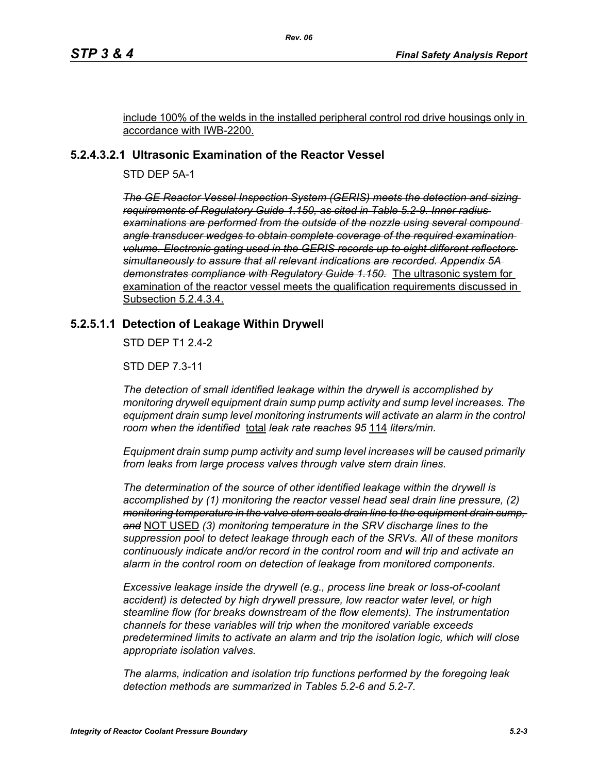include 100% of the welds in the installed peripheral control rod drive housings only in accordance with IWB-2200.

### **5.2.4.3.2.1 Ultrasonic Examination of the Reactor Vessel**

STD DEP 5A-1

*The GE Reactor Vessel Inspection System (GERIS) meets the detection and sizing requirements of Regulatory Guide 1.150, as cited in Table 5.2-9. Inner radius examinations are performed from the outside of the nozzle using several compound angle transducer wedges to obtain complete coverage of the required examination volume. Electronic gating used in the GERIS records up to eight different reflectors simultaneously to assure that all relevant indications are recorded. Appendix 5A demonstrates compliance with Regulatory Guide 1.150.* The ultrasonic system for examination of the reactor vessel meets the qualification requirements discussed in Subsection 5.2.4.3.4.

### **5.2.5.1.1 Detection of Leakage Within Drywell**

STD DEP T1 2.4-2

STD DEP 7.3-11

*The detection of small identified leakage within the drywell is accomplished by monitoring drywell equipment drain sump pump activity and sump level increases. The*  equipment drain sump level monitoring instruments will activate an alarm in the control *room when the identified* total *leak rate reaches 95* 114 *liters/min.*

*Equipment drain sump pump activity and sump level increases will be caused primarily from leaks from large process valves through valve stem drain lines.*

*The determination of the source of other identified leakage within the drywell is accomplished by (1) monitoring the reactor vessel head seal drain line pressure, (2) monitoring temperature in the valve stem seals drain line to the equipment drain sump, and* NOT USED *(3) monitoring temperature in the SRV discharge lines to the suppression pool to detect leakage through each of the SRVs. All of these monitors continuously indicate and/or record in the control room and will trip and activate an alarm in the control room on detection of leakage from monitored components.* 

*Excessive leakage inside the drywell (e.g., process line break or loss-of-coolant accident) is detected by high drywell pressure, low reactor water level, or high steamline flow (for breaks downstream of the flow elements). The instrumentation channels for these variables will trip when the monitored variable exceeds predetermined limits to activate an alarm and trip the isolation logic, which will close appropriate isolation valves.*

*The alarms, indication and isolation trip functions performed by the foregoing leak detection methods are summarized in Tables 5.2-6 and 5.2-7.*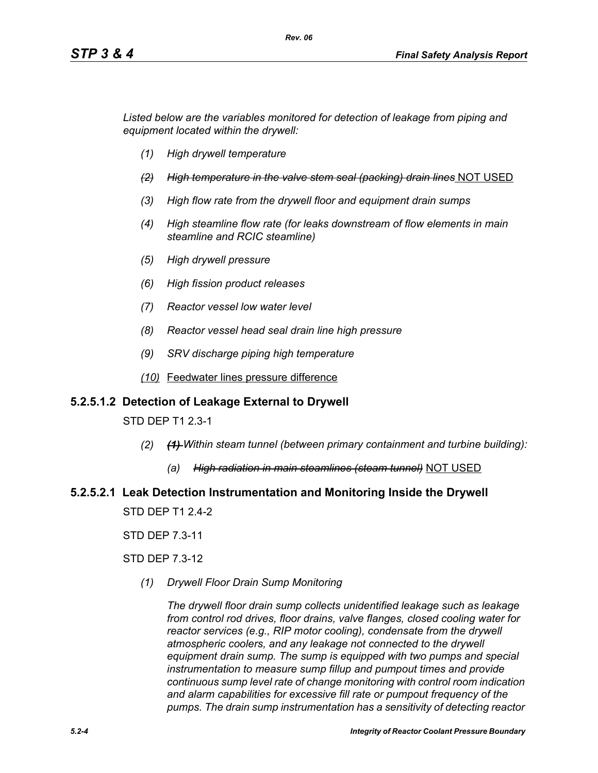*Listed below are the variables monitored for detection of leakage from piping and equipment located within the drywell:*

- *(1) High drywell temperature*
- *(2) High temperature in the valve stem seal (packing) drain lines* NOT USED
- *(3) High flow rate from the drywell floor and equipment drain sumps*
- *(4) High steamline flow rate (for leaks downstream of flow elements in main steamline and RCIC steamline)*
- *(5) High drywell pressure*
- *(6) High fission product releases*
- *(7) Reactor vessel low water level*
- *(8) Reactor vessel head seal drain line high pressure*
- *(9) SRV discharge piping high temperature*
- *(10)* Feedwater lines pressure difference

### **5.2.5.1.2 Detection of Leakage External to Drywell**

STD DEP T1 2.3-1

- *(2) (1) Within steam tunnel (between primary containment and turbine building):*
	- *(a) High radiation in main steamlines (steam tunnel)* NOT USED

# **5.2.5.2.1 Leak Detection Instrumentation and Monitoring Inside the Drywell**

STD DEP T1 2.4-2

STD DEP 7.3-11

STD DEP 7.3-12

*(1) Drywell Floor Drain Sump Monitoring*

*The drywell floor drain sump collects unidentified leakage such as leakage from control rod drives, floor drains, valve flanges, closed cooling water for reactor services (e.g., RIP motor cooling), condensate from the drywell atmospheric coolers, and any leakage not connected to the drywell equipment drain sump. The sump is equipped with two pumps and special instrumentation to measure sump fillup and pumpout times and provide continuous sump level rate of change monitoring with control room indication and alarm capabilities for excessive fill rate or pumpout frequency of the pumps. The drain sump instrumentation has a sensitivity of detecting reactor*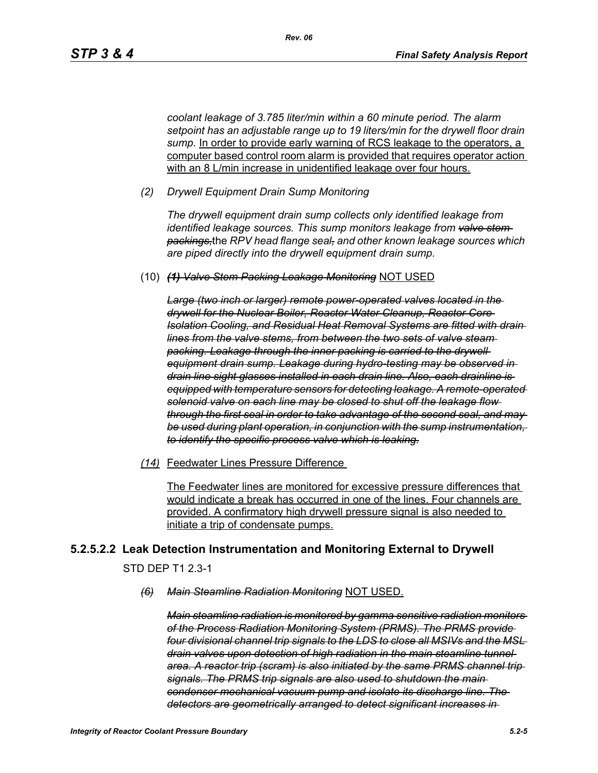*coolant leakage of 3.785 liter/min within a 60 minute period. The alarm setpoint has an adjustable range up to 19 liters/min for the drywell floor drain*  sump. In order to provide early warning of RCS leakage to the operators, a computer based control room alarm is provided that requires operator action with an 8 L/min increase in unidentified leakage over four hours.

*(2) Drywell Equipment Drain Sump Monitoring*

*The drywell equipment drain sump collects only identified leakage from identified leakage sources. This sump monitors leakage from valve stem packings,*the *RPV head flange seal, and other known leakage sources which are piped directly into the drywell equipment drain sump.*

(10) *(1) Valve Stem Packing Leakage Monitoring* NOT USED

*Large (two inch or larger) remote power-operated valves located in the drywell for the Nuclear Boiler, Reactor Water Cleanup, Reactor Core Isolation Cooling, and Residual Heat Removal Systems are fitted with drain lines from the valve stems, from between the two sets of valve steam packing. Leakage through the inner packing is carried to the drywell equipment drain sump. Leakage during hydro-testing may be observed in drain line sight glasses installed in each drain line. Also, each drainline is equipped with temperature sensors for detecting leakage. A remote-operated solenoid valve on each line may be closed to shut off the leakage flow through the first seal in order to take advantage of the second seal, and may be used during plant operation, in conjunction with the sump instrumentation, to identify the specific process valve which is leaking.*

*(14)* Feedwater Lines Pressure Difference

The Feedwater lines are monitored for excessive pressure differences that would indicate a break has occurred in one of the lines. Four channels are provided. A confirmatory high drywell pressure signal is also needed to initiate a trip of condensate pumps.

### **5.2.5.2.2 Leak Detection Instrumentation and Monitoring External to Drywell**

STD DEP T1 2.3-1

*(6) Main Steamline Radiation Monitoring* NOT USED.

*Main steamline radiation is monitored by gamma sensitive radiation monitors of the Process Radiation Monitoring System (PRMS). The PRMS provide four divisional channel trip signals to the LDS to close all MSIVs and the MSL drain valves upon detection of high radiation in the main steamline tunnel area. A reactor trip (scram) is also initiated by the same PRMS channel trip signals. The PRMS trip signals are also used to shutdown the main condenser mechanical vacuum pump and isolate its discharge line. The detectors are geometrically arranged to detect significant increases in*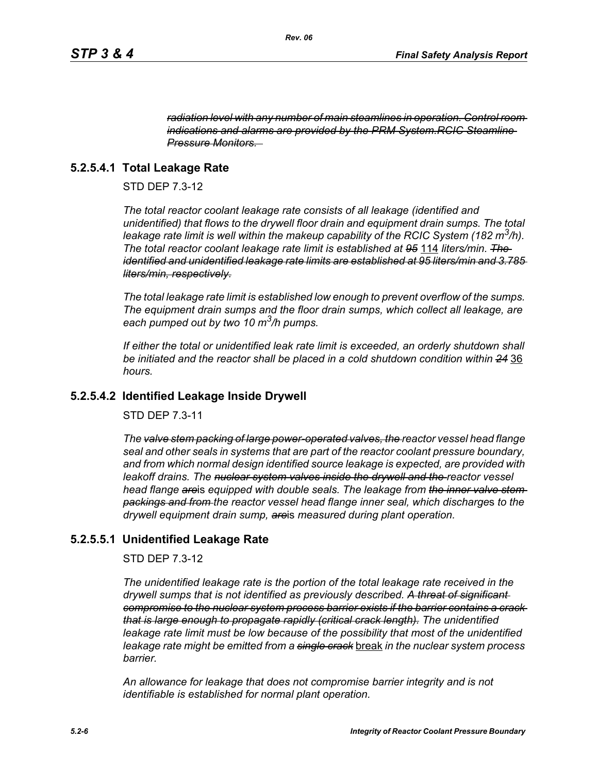*radiation level with any number of main steamlines in operation. Control room indications and alarms are provided by the PRM System.RCIC Steamline Pressure Monitors.* 

### **5.2.5.4.1 Total Leakage Rate**

STD DEP 7.3-12

*The total reactor coolant leakage rate consists of all leakage (identified and unidentified) that flows to the drywell floor drain and equipment drain sumps. The total leakage rate limit is well within the makeup capability of the RCIC System (182 m3/h). The total reactor coolant leakage rate limit is established at 95* 114 *liters/min. The identified and unidentified leakage rate limits are established at 95 liters/min and 3.785 liters/min, respectively.*

*The total leakage rate limit is established low enough to prevent overflow of the sumps. The equipment drain sumps and the floor drain sumps, which collect all leakage, are each pumped out by two 10 m3/h pumps.*

*If either the total or unidentified leak rate limit is exceeded, an orderly shutdown shall be initiated and the reactor shall be placed in a cold shutdown condition within 24* 36 *hours.*

### **5.2.5.4.2 Identified Leakage Inside Drywell**

STD DEP 7.3-11

*The valve stem packing of large power-operated valves, the reactor vessel head flange seal and other seals in systems that are part of the reactor coolant pressure boundary, and from which normal design identified source leakage is expected, are provided with leakoff drains. The nuclear system valves inside the drywell and the reactor vessel head flange are*is *equipped with double seals. The leakage from the inner valve stem packings and from the reactor vessel head flange inner seal, which discharge*s *to the drywell equipment drain sump, are*is *measured during plant operation.*

### **5.2.5.5.1 Unidentified Leakage Rate**

STD DEP 7.3-12

*The unidentified leakage rate is the portion of the total leakage rate received in the drywell sumps that is not identified as previously described. A threat of significant compromise to the nuclear system process barrier exists if the barrier contains a crack that is large enough to propagate rapidly (critical crack length). The unidentified leakage rate limit must be low because of the possibility that most of the unidentified leakage rate might be emitted from a single crack* break *in the nuclear system process barrier.*

*An allowance for leakage that does not compromise barrier integrity and is not identifiable is established for normal plant operation.*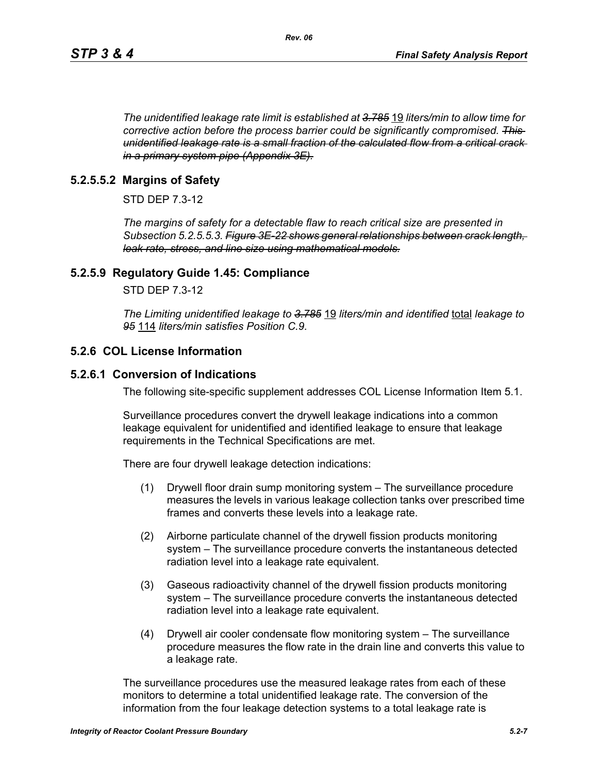*The unidentified leakage rate limit is established at 3.785* 19 *liters/min to allow time for corrective action before the process barrier could be significantly compromised. This unidentified leakage rate is a small fraction of the calculated flow from a critical crack in a primary system pipe (Appendix 3E).*

*Rev. 06*

### **5.2.5.5.2 Margins of Safety**

STD DEP 7.3-12

*The margins of safety for a detectable flaw to reach critical size are presented in Subsection 5.2.5.5.3. Figure 3E-22 shows general relationships between crack length, leak rate, stress, and line size using mathematical models.*

### **5.2.5.9 Regulatory Guide 1.45: Compliance**

STD DEP 7.3-12

*The Limiting unidentified leakage to 3.785* 19 *liters/min and identified* total *leakage to 95* 114 *liters/min satisfies Position C.9.*

### **5.2.6 COL License Information**

### **5.2.6.1 Conversion of Indications**

The following site-specific supplement addresses COL License Information Item 5.1.

Surveillance procedures convert the drywell leakage indications into a common leakage equivalent for unidentified and identified leakage to ensure that leakage requirements in the Technical Specifications are met.

There are four drywell leakage detection indications:

- (1) Drywell floor drain sump monitoring system The surveillance procedure measures the levels in various leakage collection tanks over prescribed time frames and converts these levels into a leakage rate.
- (2) Airborne particulate channel of the drywell fission products monitoring system – The surveillance procedure converts the instantaneous detected radiation level into a leakage rate equivalent.
- (3) Gaseous radioactivity channel of the drywell fission products monitoring system – The surveillance procedure converts the instantaneous detected radiation level into a leakage rate equivalent.
- (4) Drywell air cooler condensate flow monitoring system The surveillance procedure measures the flow rate in the drain line and converts this value to a leakage rate.

The surveillance procedures use the measured leakage rates from each of these monitors to determine a total unidentified leakage rate. The conversion of the information from the four leakage detection systems to a total leakage rate is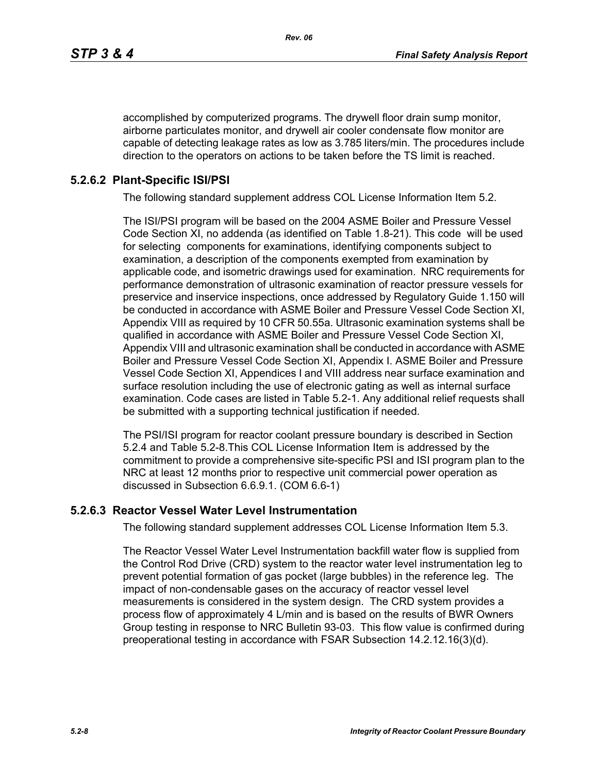accomplished by computerized programs. The drywell floor drain sump monitor, airborne particulates monitor, and drywell air cooler condensate flow monitor are capable of detecting leakage rates as low as 3.785 liters/min. The procedures include direction to the operators on actions to be taken before the TS limit is reached.

### **5.2.6.2 Plant-Specific ISI/PSI**

The following standard supplement address COL License Information Item 5.2.

The ISI/PSI program will be based on the 2004 ASME Boiler and Pressure Vessel Code Section XI, no addenda (as identified on Table 1.8-21). This code will be used for selecting components for examinations, identifying components subject to examination, a description of the components exempted from examination by applicable code, and isometric drawings used for examination. NRC requirements for performance demonstration of ultrasonic examination of reactor pressure vessels for preservice and inservice inspections, once addressed by Regulatory Guide 1.150 will be conducted in accordance with ASME Boiler and Pressure Vessel Code Section XI, Appendix VIII as required by 10 CFR 50.55a. Ultrasonic examination systems shall be qualified in accordance with ASME Boiler and Pressure Vessel Code Section XI, Appendix VIII and ultrasonic examination shall be conducted in accordance with ASME Boiler and Pressure Vessel Code Section XI, Appendix I. ASME Boiler and Pressure Vessel Code Section XI, Appendices I and VIII address near surface examination and surface resolution including the use of electronic gating as well as internal surface examination. Code cases are listed in Table 5.2-1. Any additional relief requests shall be submitted with a supporting technical justification if needed.

The PSI/ISI program for reactor coolant pressure boundary is described in Section 5.2.4 and Table 5.2-8.This COL License Information Item is addressed by the commitment to provide a comprehensive site-specific PSI and ISI program plan to the NRC at least 12 months prior to respective unit commercial power operation as discussed in Subsection 6.6.9.1. (COM 6.6-1)

### **5.2.6.3 Reactor Vessel Water Level Instrumentation**

The following standard supplement addresses COL License Information Item 5.3.

The Reactor Vessel Water Level Instrumentation backfill water flow is supplied from the Control Rod Drive (CRD) system to the reactor water level instrumentation leg to prevent potential formation of gas pocket (large bubbles) in the reference leg. The impact of non-condensable gases on the accuracy of reactor vessel level measurements is considered in the system design. The CRD system provides a process flow of approximately 4 L/min and is based on the results of BWR Owners Group testing in response to NRC Bulletin 93-03. This flow value is confirmed during preoperational testing in accordance with FSAR Subsection 14.2.12.16(3)(d).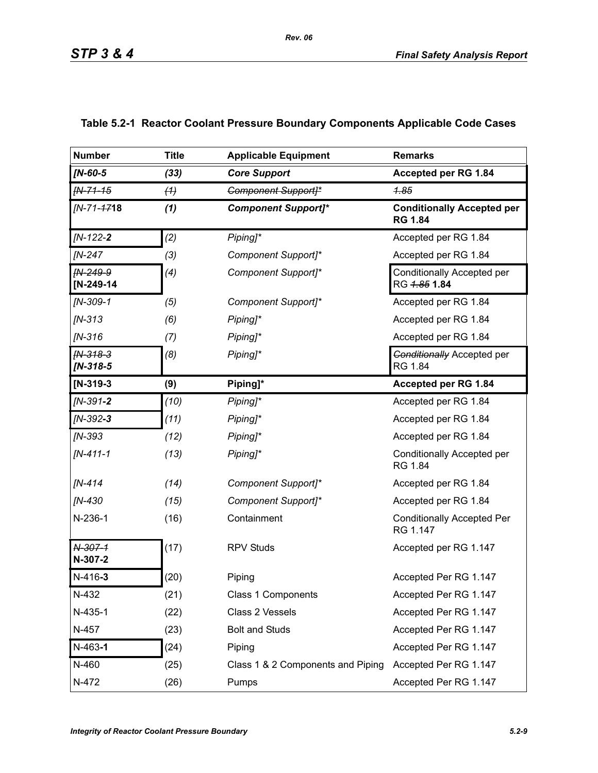| <b>Number</b>            | <b>Title</b> | <b>Applicable Equipment</b>       | <b>Remarks</b>                                      |
|--------------------------|--------------|-----------------------------------|-----------------------------------------------------|
| $IN-60-5$                | (33)         | <b>Core Support</b>               | Accepted per RG 1.84                                |
| FN-71-15                 | (4)          | <b>Component Support]*</b>        | 1.85                                                |
| [N-71-4718               | (1)          | <b>Component Support]*</b>        | <b>Conditionally Accepted per</b><br><b>RG 1.84</b> |
| $IN-122-2$               | (2)          | Piping]*                          | Accepted per RG 1.84                                |
| <b>IN-247</b>            | (3)          | Component Support]*               | Accepted per RG 1.84                                |
| IN-249-9<br>$[N-249-14]$ | (4)          | Component Support]*               | <b>Conditionally Accepted per</b><br>RG 4.85 1.84   |
| $IN-309-1$               | (5)          | Component Support]*               | Accepted per RG 1.84                                |
| $IN-313$                 | (6)          | Piping]*                          | Accepted per RG 1.84                                |
| $IN-316$                 | (7)          | Piping]*                          | Accepted per RG 1.84                                |
| $fN-318-3$<br>$IN-318-5$ | (8)          | Piping]*                          | <b>Conditionally Accepted per</b><br>RG 1.84        |
| $[N-319-3]$              | (9)          | Piping]*                          | Accepted per RG 1.84                                |
| $IN-391-2$               | (10)         | Piping <sub>1</sub> *             | Accepted per RG 1.84                                |
| $IN-392-3$               | (11)         | Piping]*                          | Accepted per RG 1.84                                |
| $IN-393$                 | (12)         | Piping]*                          | Accepted per RG 1.84                                |
| $IN-411-1$               | (13)         | Piping]*                          | Conditionally Accepted per<br>RG 1.84               |
| $IN-414$                 | (14)         | Component Support]*               | Accepted per RG 1.84                                |
| [N-430                   | (15)         | Component Support]*               | Accepted per RG 1.84                                |
| N-236-1                  | (16)         | Containment                       | <b>Conditionally Accepted Per</b><br>RG 1.147       |
| N-307-1<br>N-307-2       | (17)         | <b>RPV Studs</b>                  | Accepted per RG 1.147                               |
| $N-416-3$                | (20)         | Piping                            | Accepted Per RG 1.147                               |
| N-432                    | (21)         | Class 1 Components                | Accepted Per RG 1.147                               |
| N-435-1                  | (22)         | Class 2 Vessels                   | Accepted Per RG 1.147                               |
| N-457                    | (23)         | <b>Bolt and Studs</b>             | Accepted Per RG 1.147                               |
| $N-463-1$                | (24)         | Piping                            | Accepted Per RG 1.147                               |
| N-460                    | (25)         | Class 1 & 2 Components and Piping | Accepted Per RG 1.147                               |
| N-472                    | (26)         | Pumps                             | Accepted Per RG 1.147                               |

## **Table 5.2-1 Reactor Coolant Pressure Boundary Components Applicable Code Cases**

*Rev. 06*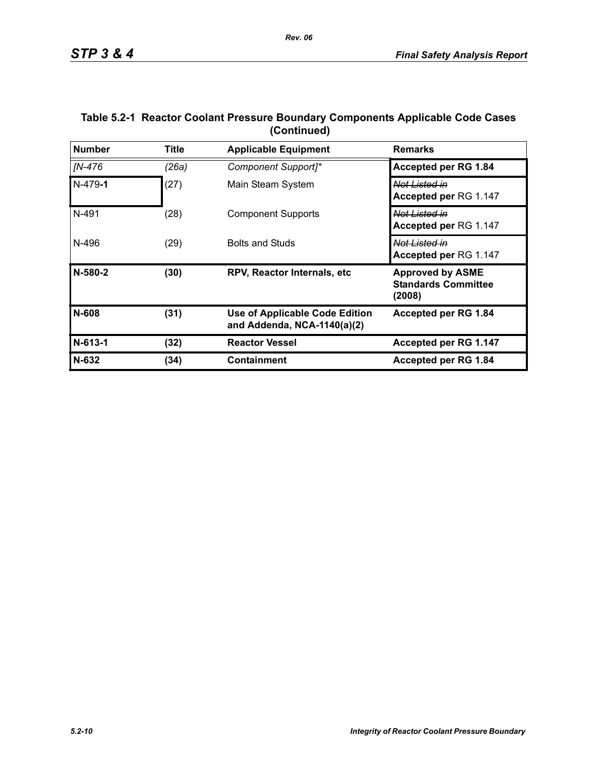| <b>Number</b> | <b>Title</b> | <b>Applicable Equipment</b>                                          | <b>Remarks</b>                                                  |
|---------------|--------------|----------------------------------------------------------------------|-----------------------------------------------------------------|
| IN-476        | (26a)        | Component Support]*                                                  | Accepted per RG 1.84                                            |
| $N-479-1$     | (27)         | Main Steam System                                                    | <del>Not Listed in</del><br>Accepted per RG 1.147               |
| N-491         | (28)         | <b>Component Supports</b>                                            | Not Listed in<br>Accepted per RG 1.147                          |
| N-496         | (29)         | <b>Bolts and Studs</b>                                               | Not Listed in<br>Accepted per RG 1.147                          |
| N-580-2       | (30)         | RPV, Reactor Internals, etc.                                         | <b>Approved by ASME</b><br><b>Standards Committee</b><br>(2008) |
| N-608         | (31)         | <b>Use of Applicable Code Edition</b><br>and Addenda, NCA-1140(a)(2) | Accepted per RG 1.84                                            |
| $N-613-1$     | (32)         | <b>Reactor Vessel</b>                                                | Accepted per RG 1.147                                           |
| N-632         | (34)         | Containment                                                          | Accepted per RG 1.84                                            |

### **Table 5.2-1 Reactor Coolant Pressure Boundary Components Applicable Code Cases (Continued)**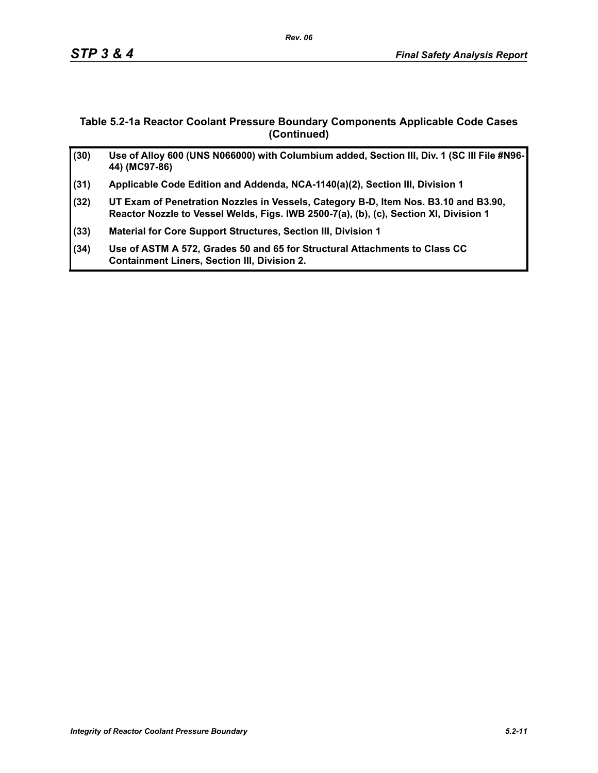### **Table 5.2-1a Reactor Coolant Pressure Boundary Components Applicable Code Cases (Continued)**

| (30) | Use of Alloy 600 (UNS N066000) with Columbium added, Section III, Div. 1 (SC III File #N96-<br>44) (MC97-86)                                                                 |
|------|------------------------------------------------------------------------------------------------------------------------------------------------------------------------------|
| (31) | Applicable Code Edition and Addenda, NCA-1140(a)(2), Section III, Division 1                                                                                                 |
| (32) | UT Exam of Penetration Nozzles in Vessels, Category B-D, Item Nos. B3.10 and B3.90,<br>Reactor Nozzle to Vessel Welds, Figs. IWB 2500-7(a), (b), (c), Section XI, Division 1 |
| (33) | Material for Core Support Structures, Section III, Division 1                                                                                                                |
| (34) | Use of ASTM A 572, Grades 50 and 65 for Structural Attachments to Class CC<br><b>Containment Liners, Section III, Division 2.</b>                                            |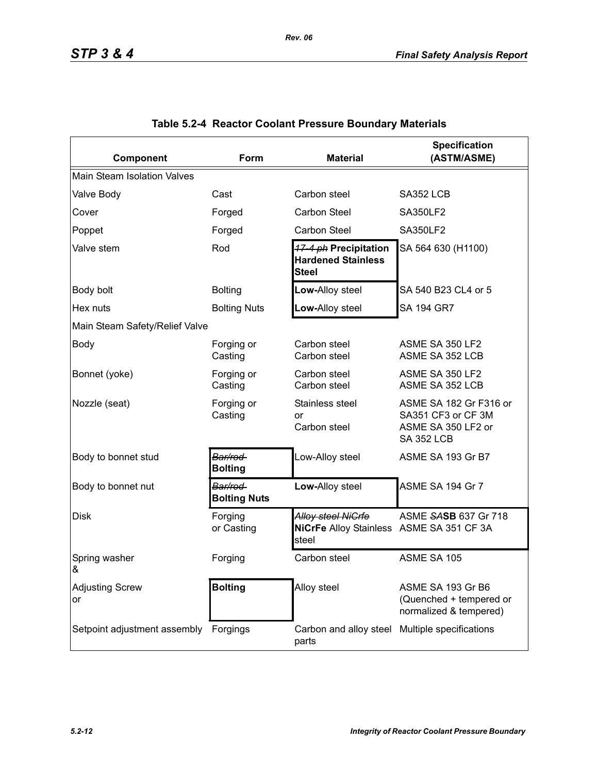| Component                             | Form                           | <b>Material</b>                                                         | <b>Specification</b><br>(ASTM/ASME)                                                     |  |  |  |  |  |  |
|---------------------------------------|--------------------------------|-------------------------------------------------------------------------|-----------------------------------------------------------------------------------------|--|--|--|--|--|--|
| <b>Main Steam Isolation Valves</b>    |                                |                                                                         |                                                                                         |  |  |  |  |  |  |
| Valve Body                            | Cast                           | Carbon steel                                                            | SA352 LCB                                                                               |  |  |  |  |  |  |
| Cover                                 | Forged                         | Carbon Steel                                                            | <b>SA350LF2</b>                                                                         |  |  |  |  |  |  |
| Poppet                                | Forged                         | Carbon Steel                                                            | <b>SA350LF2</b>                                                                         |  |  |  |  |  |  |
| Valve stem                            | Rod                            | 17-4 ph Precipitation<br><b>Hardened Stainless</b><br><b>Steel</b>      | SA 564 630 (H1100)                                                                      |  |  |  |  |  |  |
| Body bolt                             | <b>Bolting</b>                 | Low-Alloy steel                                                         | SA 540 B23 CL4 or 5                                                                     |  |  |  |  |  |  |
| Hex nuts                              | <b>Bolting Nuts</b>            | Low-Alloy steel                                                         | <b>SA 194 GR7</b>                                                                       |  |  |  |  |  |  |
| Main Steam Safety/Relief Valve        |                                |                                                                         |                                                                                         |  |  |  |  |  |  |
| <b>Body</b>                           | Forging or<br>Casting          | Carbon steel<br>Carbon steel                                            | ASME SA 350 LF2<br>ASME SA 352 LCB                                                      |  |  |  |  |  |  |
| Bonnet (yoke)                         | Forging or<br>Casting          | Carbon steel<br>Carbon steel                                            | ASME SA 350 LF2<br>ASME SA 352 LCB                                                      |  |  |  |  |  |  |
| Nozzle (seat)                         | Forging or<br>Casting          | Stainless steel<br>or<br>Carbon steel                                   | ASME SA 182 Gr F316 or<br>SA351 CF3 or CF 3M<br>ASME SA 350 LF2 or<br><b>SA 352 LCB</b> |  |  |  |  |  |  |
| Body to bonnet stud                   | Bar/rod<br><b>Bolting</b>      | Low-Alloy steel                                                         | ASME SA 193 Gr B7                                                                       |  |  |  |  |  |  |
| Body to bonnet nut                    | Bar/rod<br><b>Bolting Nuts</b> | Low-Alloy steel                                                         | ASME SA 194 Gr 7                                                                        |  |  |  |  |  |  |
| <b>Disk</b>                           | Forging<br>or Casting          | Alloy steel NiGrfe<br>NiCrFe Alloy Stainless ASME SA 351 CF 3A<br>steel | ASME SASB 637 Gr 718                                                                    |  |  |  |  |  |  |
| Spring washer<br>&                    | Forging                        | Carbon steel                                                            | ASME SA 105                                                                             |  |  |  |  |  |  |
| <b>Adjusting Screw</b><br>or          | <b>Bolting</b>                 | Alloy steel                                                             | ASME SA 193 Gr B6<br>(Quenched + tempered or<br>normalized & tempered)                  |  |  |  |  |  |  |
| Setpoint adjustment assembly Forgings |                                | Carbon and alloy steel Multiple specifications<br>parts                 |                                                                                         |  |  |  |  |  |  |

### **Table 5.2-4 Reactor Coolant Pressure Boundary Materials**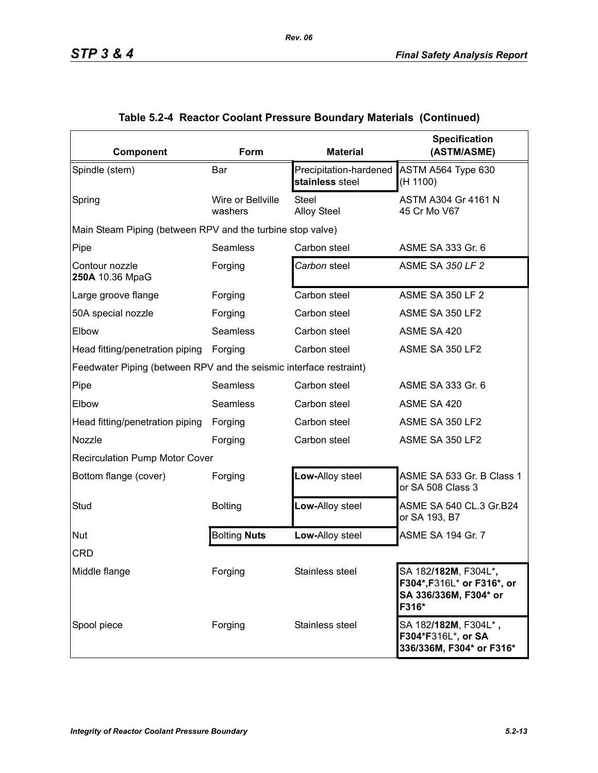| Component                                                          | Form                         | <b>Material</b>                           | <b>Specification</b><br>(ASTM/ASME)                                                                   |
|--------------------------------------------------------------------|------------------------------|-------------------------------------------|-------------------------------------------------------------------------------------------------------|
| Spindle (stem)                                                     | Bar                          | Precipitation-hardened<br>stainless steel | ASTM A564 Type 630<br>(H 1100)                                                                        |
| Spring                                                             | Wire or Bellville<br>washers | <b>Steel</b><br><b>Alloy Steel</b>        | ASTM A304 Gr 4161 N<br>45 Cr Mo V67                                                                   |
| Main Steam Piping (between RPV and the turbine stop valve)         |                              |                                           |                                                                                                       |
| Pipe                                                               | Seamless                     | Carbon steel                              | ASME SA 333 Gr. 6                                                                                     |
| Contour nozzle<br>250A 10.36 MpaG                                  | Forging                      | Carbon steel                              | <b>ASME SA 350 LF 2</b>                                                                               |
| Large groove flange                                                | Forging                      | Carbon steel                              | <b>ASME SA 350 LF 2</b>                                                                               |
| 50A special nozzle                                                 | Forging                      | Carbon steel                              | ASME SA 350 LF2                                                                                       |
| Elbow                                                              | Seamless                     | Carbon steel                              | ASME SA 420                                                                                           |
| Head fitting/penetration piping                                    | Forging                      | Carbon steel                              | ASME SA 350 LF2                                                                                       |
| Feedwater Piping (between RPV and the seismic interface restraint) |                              |                                           |                                                                                                       |
| Pipe                                                               | <b>Seamless</b>              | Carbon steel                              | ASME SA 333 Gr. 6                                                                                     |
| Elbow                                                              | <b>Seamless</b>              | Carbon steel                              | ASME SA 420                                                                                           |
| Head fitting/penetration piping                                    | Forging                      | Carbon steel                              | ASME SA 350 LF2                                                                                       |
| Nozzle                                                             | Forging                      | Carbon steel                              | ASME SA 350 LF2                                                                                       |
| <b>Recirculation Pump Motor Cover</b>                              |                              |                                           |                                                                                                       |
| Bottom flange (cover)                                              | Forging                      | Low-Alloy steel                           | ASME SA 533 Gr. B Class 1<br>or SA 508 Class 3                                                        |
| Stud                                                               | <b>Bolting</b>               | Low-Alloy steel                           | ASME SA 540 CL.3 Gr.B24<br>or SA 193, B7                                                              |
| Nut                                                                | <b>Bolting Nuts</b>          | Low-Alloy steel                           | ASME SA 194 Gr. 7                                                                                     |
| <b>CRD</b>                                                         |                              |                                           |                                                                                                       |
| Middle flange                                                      | Forging                      | Stainless steel                           | SA 182/ <b>182M</b> , F304L* <b>,</b><br>F304*, F316L* or F316*, or<br>SA 336/336M, F304* or<br>F316* |
| Spool piece                                                        | Forging                      | Stainless steel                           | SA 182/182M, F304L*,<br>F304*F316L*, or SA<br>336/336M, F304* or F316*                                |

### **Table 5.2-4 Reactor Coolant Pressure Boundary Materials (Continued)**

*Rev. 06*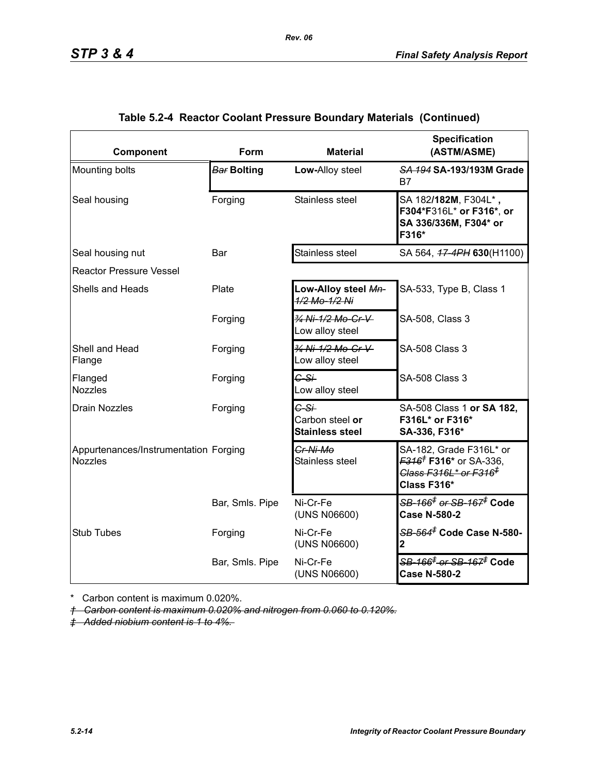| Component                                               | Form            | <b>Material</b>                                     | <b>Specification</b><br>(ASTM/ASME)                                                                                                   |  |  |  |  |  |  |
|---------------------------------------------------------|-----------------|-----------------------------------------------------|---------------------------------------------------------------------------------------------------------------------------------------|--|--|--|--|--|--|
| Mounting bolts                                          | Bar Bolting     | Low-Alloy steel                                     | SA 194 SA-193/193M Grade<br>B7                                                                                                        |  |  |  |  |  |  |
| Seal housing                                            | Forging         | Stainless steel                                     | SA 182/182M, F304L*,<br>F304*F316L* or F316*, or<br>SA 336/336M, F304* or<br>F316*                                                    |  |  |  |  |  |  |
| Seal housing nut                                        | Bar             | Stainless steel                                     | SA 564, 47-4PH 630(H1100)                                                                                                             |  |  |  |  |  |  |
| <b>Reactor Pressure Vessel</b>                          |                 |                                                     |                                                                                                                                       |  |  |  |  |  |  |
| Shells and Heads                                        | Plate           | Low-Alloy steel Mn-<br>1/2 Mo-1/2 Ni                | SA-533, Type B, Class 1                                                                                                               |  |  |  |  |  |  |
|                                                         | Forging         | 34 Ni-1/2 Mo-Cr-V<br>Low alloy steel                | SA-508, Class 3                                                                                                                       |  |  |  |  |  |  |
| Shell and Head<br>Flange                                | Forging         | 3/4 Ni-1/2 Mo-Cr-V<br>Low alloy steel               | <b>SA-508 Class 3</b>                                                                                                                 |  |  |  |  |  |  |
| Flanged<br><b>Nozzles</b>                               | Forging         | $G-S+$<br>Low alloy steel                           | <b>SA-508 Class 3</b>                                                                                                                 |  |  |  |  |  |  |
| <b>Drain Nozzles</b>                                    | Forging         | $C-S+$<br>Carbon steel or<br><b>Stainless steel</b> | SA-508 Class 1 or SA 182,<br>F316L* or F316*<br>SA-336, F316*                                                                         |  |  |  |  |  |  |
| Appurtenances/Instrumentation Forging<br><b>Nozzles</b> |                 | Cr-Ni-Mo<br>Stainless steel                         | SA-182, Grade F316L* or<br><del>F316<sup>†</sup> F316*</del> or SA-336,<br><del>Class F316L* or F316<sup>‡</sup></del><br>Class F316* |  |  |  |  |  |  |
|                                                         | Bar, Smls. Pipe | Ni-Cr-Fe<br>(UNS N06600)                            | <del>SB-166<sup>≢</sup> or SB-167<sup>≢</sup> Code</del><br><b>Case N-580-2</b>                                                       |  |  |  |  |  |  |
| <b>Stub Tubes</b>                                       | Forging         | Ni-Cr-Fe<br>(UNS N06600)                            | <del>SB-564<sup>≢</sup> Code Case N-580-</del><br>2                                                                                   |  |  |  |  |  |  |
|                                                         | Bar, Smls. Pipe | Ni-Cr-Fe<br>(UNS N06600)                            | <del>SB-166<sup>‡</sup> or SB-167<sup>‡</sup> Code</del><br><b>Case N-580-2</b>                                                       |  |  |  |  |  |  |

### **Table 5.2-4 Reactor Coolant Pressure Boundary Materials (Continued)**

*Rev. 06*

\* Carbon content is maximum 0.020%.

*† Carbon content is maximum 0.020% and nitrogen from 0.060 to 0.120%.*

*‡ Added niobium content is 1 to 4%.*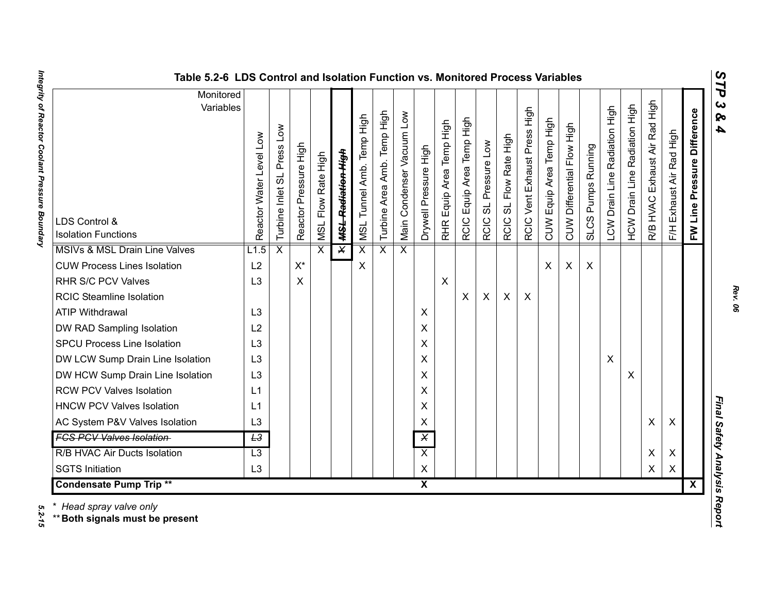| ທ |
|---|
| ⊣ |
| d |
| ట |
| ശ |
| 4 |

| Table 5.2-6 LDS Control and Isolation Function vs. Monitored Process Variables |                            |                            |                       |                              |                               |                           |                                   |                           |                         |                                    |                                |                                |                                  |                              |                          |                            |                                    |                               |                                         |                                     |                          |                                |                              |
|--------------------------------------------------------------------------------|----------------------------|----------------------------|-----------------------|------------------------------|-------------------------------|---------------------------|-----------------------------------|---------------------------|-------------------------|------------------------------------|--------------------------------|--------------------------------|----------------------------------|------------------------------|--------------------------|----------------------------|------------------------------------|-------------------------------|-----------------------------------------|-------------------------------------|--------------------------|--------------------------------|------------------------------|
| Monitored<br>Variables<br>LDS Control &<br><b>Isolation Functions</b>          | Level Low<br>Reactor Water | Turbine Inlet SL Press Low | Reactor Pressure High | Flow Rate High<br><b>ISN</b> | <del>MSL Radiation High</del> | MSL Tunnel Amb. Temp High | Temp High<br>Amb.<br>Turbine Area | Main Condenser Vacuum Low | Drywell Pressure High   | Equip Area Temp High<br><b>RHR</b> | Equip Area Temp High<br>RCIC I | SL Pressure Low<br><b>RCIC</b> | SL Flow Rate High<br><b>RCIC</b> | RCIC Vent Exhaust Press High | CUW Equip Area Temp High | CUW Differential Flow High | Pumps Running<br>SLCS <sub>I</sub> | LCW Drain Line Radiation High | Radiation High<br><b>HCW Drain Line</b> | High<br>Exhaust Air Rad<br>R/B HVAC | F/H Exhaust Air Rad High | Pressure Difference<br>FW Line | $\mathbf{c}$<br>ନ୍<br>4      |
| MSIVs & MSL Drain Line Valves                                                  | L1.5                       | $\overline{\mathsf{x}}$    |                       | $\overline{\mathsf{x}}$      | $\overline{\mathsf{x}}$       | $\overline{\mathsf{x}}$   | $\overline{\mathsf{x}}$           | $\overline{\mathsf{x}}$   |                         |                                    |                                |                                |                                  |                              |                          |                            |                                    |                               |                                         |                                     |                          |                                |                              |
| <b>CUW Process Lines Isolation</b>                                             | L2                         |                            | $X^*$                 |                              |                               | X                         |                                   |                           |                         |                                    |                                |                                |                                  |                              | X                        | X                          | $\boldsymbol{\mathsf{X}}$          |                               |                                         |                                     |                          |                                |                              |
| RHR S/C PCV Valves                                                             | L <sub>3</sub>             |                            | X                     |                              |                               |                           |                                   |                           |                         | $\boldsymbol{\mathsf{X}}$          |                                |                                |                                  |                              |                          |                            |                                    |                               |                                         |                                     |                          |                                |                              |
| <b>RCIC Steamline Isolation</b>                                                |                            |                            |                       |                              |                               |                           |                                   |                           |                         |                                    | X                              | $\pmb{\times}$                 | X                                | $\boldsymbol{\mathsf{X}}$    |                          |                            |                                    |                               |                                         |                                     |                          |                                |                              |
| <b>ATIP Withdrawal</b>                                                         | L <sub>3</sub>             |                            |                       |                              |                               |                           |                                   |                           | X                       |                                    |                                |                                |                                  |                              |                          |                            |                                    |                               |                                         |                                     |                          |                                |                              |
| DW RAD Sampling Isolation                                                      | L2                         |                            |                       |                              |                               |                           |                                   |                           | X                       |                                    |                                |                                |                                  |                              |                          |                            |                                    |                               |                                         |                                     |                          |                                |                              |
| <b>SPCU Process Line Isolation</b>                                             | L <sub>3</sub>             |                            |                       |                              |                               |                           |                                   |                           | X                       |                                    |                                |                                |                                  |                              |                          |                            |                                    |                               |                                         |                                     |                          |                                |                              |
| DW LCW Sump Drain Line Isolation                                               | L <sub>3</sub>             |                            |                       |                              |                               |                           |                                   |                           | X                       |                                    |                                |                                |                                  |                              |                          |                            |                                    | $\boldsymbol{\mathsf{X}}$     |                                         |                                     |                          |                                |                              |
| DW HCW Sump Drain Line Isolation                                               | L <sub>3</sub>             |                            |                       |                              |                               |                           |                                   |                           | X                       |                                    |                                |                                |                                  |                              |                          |                            |                                    |                               | X                                       |                                     |                          |                                |                              |
| <b>RCW PCV Valves Isolation</b>                                                | L1                         |                            |                       |                              |                               |                           |                                   |                           | X                       |                                    |                                |                                |                                  |                              |                          |                            |                                    |                               |                                         |                                     |                          |                                |                              |
| <b>HNCW PCV Valves Isolation</b>                                               | L1                         |                            |                       |                              |                               |                           |                                   |                           | X                       |                                    |                                |                                |                                  |                              |                          |                            |                                    |                               |                                         |                                     |                          |                                |                              |
| AC System P&V Valves Isolation                                                 | L <sub>3</sub>             |                            |                       |                              |                               |                           |                                   |                           | X                       |                                    |                                |                                |                                  |                              |                          |                            |                                    |                               |                                         | X                                   | X                        |                                | Final Safety Analysis Report |
| <b>FCS PCV Valves Isolation</b>                                                | L3                         |                            |                       |                              |                               |                           |                                   |                           | $\overline{\mathsf{x}}$ |                                    |                                |                                |                                  |                              |                          |                            |                                    |                               |                                         |                                     |                          |                                |                              |
| R/B HVAC Air Ducts Isolation                                                   | $\overline{L3}$            |                            |                       |                              |                               |                           |                                   |                           | $\overline{X}$          |                                    |                                |                                |                                  |                              |                          |                            |                                    |                               |                                         | X                                   | X                        |                                |                              |
| <b>SGTS Initiation</b>                                                         | L3                         |                            |                       |                              |                               |                           |                                   |                           | $\pmb{\times}$          |                                    |                                |                                |                                  |                              |                          |                            |                                    |                               |                                         | X                                   | $\pmb{\times}$           |                                |                              |
| <b>Condensate Pump Trip **</b>                                                 |                            |                            |                       |                              |                               |                           |                                   |                           | $\overline{\mathbf{x}}$ |                                    |                                |                                |                                  |                              |                          |                            |                                    |                               |                                         |                                     |                          | $\overline{\mathbf{X}}$        |                              |

Integrity of Reactor Coolant Pressure Boundary *Integrity of Reactor Coolant Pressure Boundary 5.2-15*

5.2-15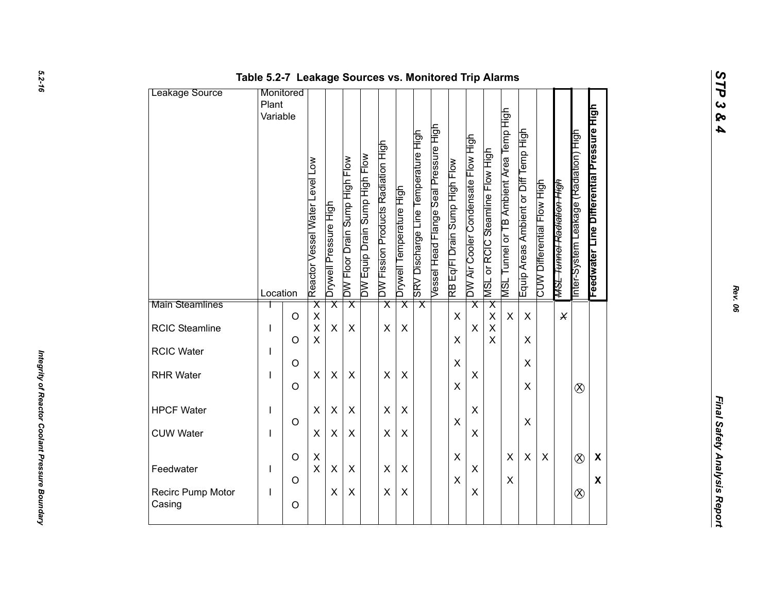| Leakage Source              | Table 5.2-7 Leakage Sources vs. Monitored Trip Alarms<br>Monitored |                    |                                                    |                         |                               |                               |                                    |                          |                                     |                                       |                               |                                    |                                 |                                         |                                       |                            |                                      |                                       |                                           |  |
|-----------------------------|--------------------------------------------------------------------|--------------------|----------------------------------------------------|-------------------------|-------------------------------|-------------------------------|------------------------------------|--------------------------|-------------------------------------|---------------------------------------|-------------------------------|------------------------------------|---------------------------------|-----------------------------------------|---------------------------------------|----------------------------|--------------------------------------|---------------------------------------|-------------------------------------------|--|
|                             | Plant<br>Variable                                                  |                    | Reactor Vessel Water Level Low                     | Drywell Pressure High   | DW Floor Drain Sump High Flow | DW Equip Drain Sump High Flow | DW Fission Products Radiation High | Drywell Temperature High | SRV Discharge Line Temperature High | Vessel Head Flange Seal Pressure High | RB Eq/Fl Drain Sump High Flow | DW Air Cooler Condensate Flow High | MSL or RCIC Steamline Flow High | MSL Tunnel or TB Ambient Area Temp High | Equip Areas Ambient or Diff Temp High | CUW Differential Flow High | <del>MSL Tunnel Radiation High</del> | Inter-System Leakage (Radiation) High | Feedwater Line Differential Pressure High |  |
| Main Steamlines             | Location                                                           |                    | $\overline{\mathsf{x}}$                            | $\overline{\mathsf{x}}$ | $\overline{\mathsf{x}}$       |                               | $\overline{\mathsf{x}}$            | $\overline{\mathsf{x}}$  | $\overline{\mathsf{x}}$             |                                       |                               | $\overline{\mathsf{x}}$            | $\overline{\mathsf{x}}$         |                                         |                                       |                            |                                      |                                       |                                           |  |
| RCIC Steamline              | I                                                                  | $\circ$<br>$\circ$ | $\pmb{\mathsf{X}}$<br>$\mathsf{X}$<br>$\mathsf{X}$ | X                       | X                             |                               | X                                  | $\pmb{\times}$           |                                     |                                       | $\mathsf{X}$<br>X             | X                                  | $\pmb{\times}$<br>$\sf X$<br>X  | $\boldsymbol{\mathsf{X}}$               | $\pmb{\times}$<br>$\pmb{\times}$      |                            | $\times$                             |                                       |                                           |  |
| RCIC Water                  |                                                                    | $\circ$            |                                                    |                         |                               |                               |                                    |                          |                                     |                                       | $\pmb{\times}$                |                                    |                                 |                                         | $\pmb{\times}$                        |                            |                                      |                                       |                                           |  |
| <b>RHR Water</b>            |                                                                    | $\circ$            | X                                                  | $\pmb{\times}$          | X                             |                               | $\pmb{\times}$                     | $\pmb{\times}$           |                                     |                                       | X                             | X                                  |                                 |                                         | $\pmb{\times}$                        |                            |                                      | $\otimes$                             |                                           |  |
| <b>HPCF Water</b>           | J.                                                                 |                    | $\pmb{\times}$                                     | X                       | $\pmb{\times}$                |                               | $\pmb{\times}$                     | X                        |                                     |                                       |                               | X                                  |                                 |                                         |                                       |                            |                                      |                                       |                                           |  |
| <b>CUW Water</b>            | I                                                                  | $\circ$            | $\pmb{\times}$                                     | X                       | $\pmb{\times}$                |                               | X                                  | X                        |                                     |                                       | X                             | X                                  |                                 |                                         | $\mathsf X$                           |                            |                                      |                                       |                                           |  |
| Feedwater                   | L                                                                  | $\circ$            | $\mathsf X$<br>$\mathsf X$                         | $\pmb{\times}$          | X                             |                               | $\pmb{\times}$                     | $\pmb{\times}$           |                                     |                                       | $\mathsf X$                   | $\pmb{\times}$                     |                                 | $\pmb{\times}$                          | $\pmb{\times}$                        | $\pmb{\times}$             |                                      | $\otimes$                             | $\boldsymbol{\mathsf{X}}$                 |  |
| Recirc Pump Motor<br>Casing | L                                                                  | $\circ$<br>$\circ$ |                                                    | X                       | $\pmb{\times}$                |                               | $\pmb{\times}$                     | $\pmb{\times}$           |                                     |                                       | $\mathsf X$                   | X                                  |                                 | $\pmb{\times}$                          |                                       |                            |                                      | $\otimes$                             | $\boldsymbol{\mathsf{X}}$                 |  |
|                             |                                                                    |                    |                                                    |                         |                               |                               |                                    |                          |                                     |                                       |                               |                                    |                                 |                                         |                                       |                            |                                      |                                       |                                           |  |

*Rev. 06*

*STP 3 & 4*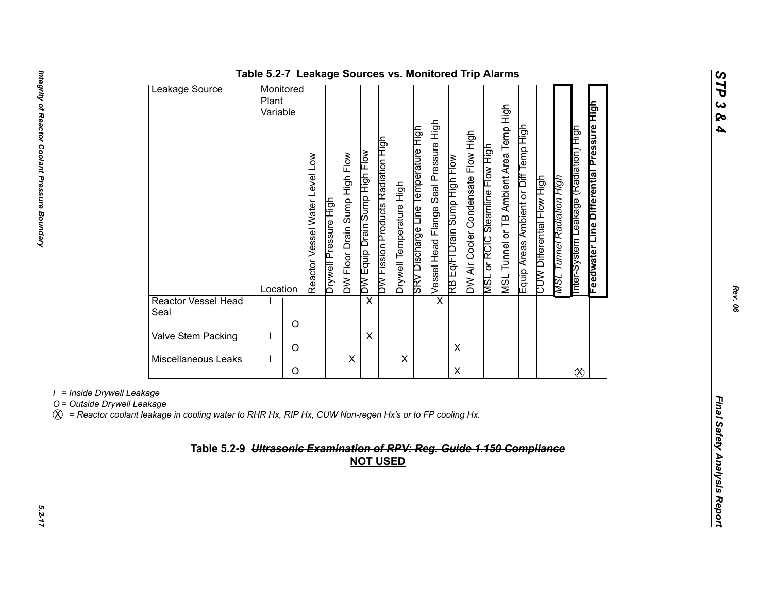| Leakage Source              | Monitored            |   |                                                |                       |                               |                               |                                    |                          |                                     |                                       |                               |                                    |                                           |                                                   |                                       |                            |                                      |                                                   |                                           |
|-----------------------------|----------------------|---|------------------------------------------------|-----------------------|-------------------------------|-------------------------------|------------------------------------|--------------------------|-------------------------------------|---------------------------------------|-------------------------------|------------------------------------|-------------------------------------------|---------------------------------------------------|---------------------------------------|----------------------------|--------------------------------------|---------------------------------------------------|-------------------------------------------|
|                             | Plant                |   |                                                |                       |                               |                               |                                    |                          |                                     |                                       |                               |                                    |                                           |                                                   |                                       |                            |                                      |                                                   |                                           |
|                             | Variable<br>Location |   | $\sum_{i=1}^{n}$<br>Reactor Vessel Water Level | Drywell Pressure High | DW Floor Drain Sump High Flow | DW Equip Drain Sump High Flow | DW Fission Products Radiation High | Drywell Temperature High | SRV Discharge Line Temperature High | Vessel Head Flange Seal Pressure High | RB Eq/FI Drain Sump High Flow | DW Air Cooler Condensate Flow High | or RCIC Steamline Flow High<br><b>NSL</b> | Tunnel or TB Ambient Area Temp High<br><b>TSN</b> | Equip Areas Ambient or Diff Temp High | CUW Differential Flow High | <del>MSL Tunnel Radiation High</del> | <b>Figh</b><br>(Radiation)<br>nter-System Leakage | Feedwater Line Differential Pressure High |
| Reactor Vessel Head<br>Seal |                      |   |                                                |                       |                               | $\overline{\mathsf{x}}$       |                                    |                          |                                     | $\overline{\mathsf{x}}$               |                               |                                    |                                           |                                                   |                                       |                            |                                      |                                                   |                                           |
|                             |                      | O |                                                |                       |                               |                               |                                    |                          |                                     |                                       |                               |                                    |                                           |                                                   |                                       |                            |                                      |                                                   |                                           |
| Valve Stem Packing          |                      | Ω |                                                |                       |                               | X                             |                                    |                          |                                     |                                       | X                             |                                    |                                           |                                                   |                                       |                            |                                      |                                                   |                                           |
| Miscellaneous Leaks         |                      |   |                                                |                       | Χ                             |                               |                                    | X                        |                                     |                                       |                               |                                    |                                           |                                                   |                                       |                            |                                      |                                                   |                                           |
|                             |                      | O |                                                |                       |                               |                               |                                    |                          |                                     |                                       | X                             |                                    |                                           |                                                   |                                       |                            |                                      | $\infty$                                          |                                           |

### **Table 5.2-7 Leakage Sources vs. Monitored Trip Alarms**

*I = Inside Drywell Leakage*

X *= Reactor coolant leakage in cooling water to RHR Hx, RIP Hx, CUW Non-regen Hx's or to FP cooling Hx.*

# *Final Safety Analysis Reportion Computer Computer Computer Computer Computer Computer Computer Computer Computer Computer of Computer of Computer Computer Computer Computer Computer Computer Computer Computer Computer Com*

*STP 3 & 4*